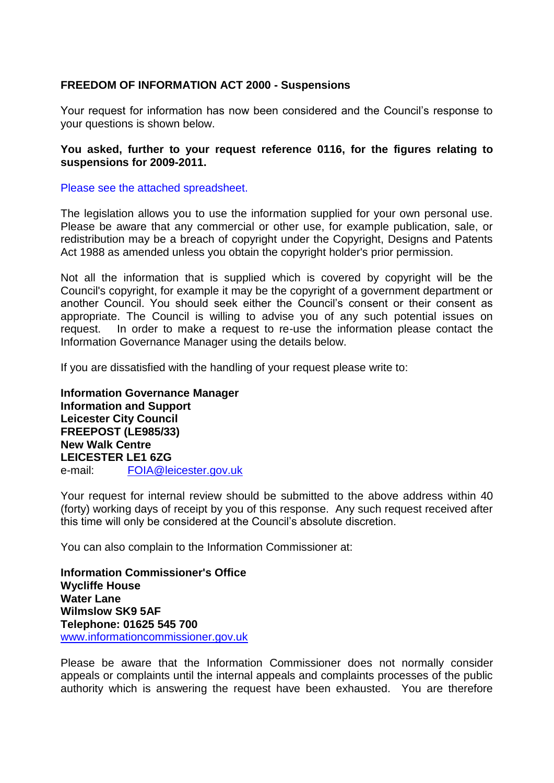## **FREEDOM OF INFORMATION ACT 2000 - Suspensions**

Your request for information has now been considered and the Council's response to your questions is shown below.

## **You asked, further to your request reference 0116, for the figures relating to suspensions for 2009-2011.**

## Please see the attached spreadsheet.

The legislation allows you to use the information supplied for your own personal use. Please be aware that any commercial or other use, for example publication, sale, or redistribution may be a breach of copyright under the Copyright, Designs and Patents Act 1988 as amended unless you obtain the copyright holder's prior permission.

Not all the information that is supplied which is covered by copyright will be the Council's copyright, for example it may be the copyright of a government department or another Council. You should seek either the Council's consent or their consent as appropriate. The Council is willing to advise you of any such potential issues on request. In order to make a request to re-use the information please contact the Information Governance Manager using the details below.

If you are dissatisfied with the handling of your request please write to:

**Information Governance Manager Information and Support Leicester City Council FREEPOST (LE985/33) New Walk Centre LEICESTER LE1 6ZG**  e-mail: FOIA@leicester.gov.uk

Your request for internal review should be submitted to the above address within 40 (forty) working days of receipt by you of this response. Any such request received after this time will only be considered at the Council's absolute discretion.

You can also complain to the Information Commissioner at:

**Information Commissioner's Office Wycliffe House Water Lane Wilmslow SK9 5AF Telephone: 01625 545 700**  www.informationcommissioner.gov.uk

Please be aware that the Information Commissioner does not normally consider appeals or complaints until the internal appeals and complaints processes of the public authority which is answering the request have been exhausted. You are therefore